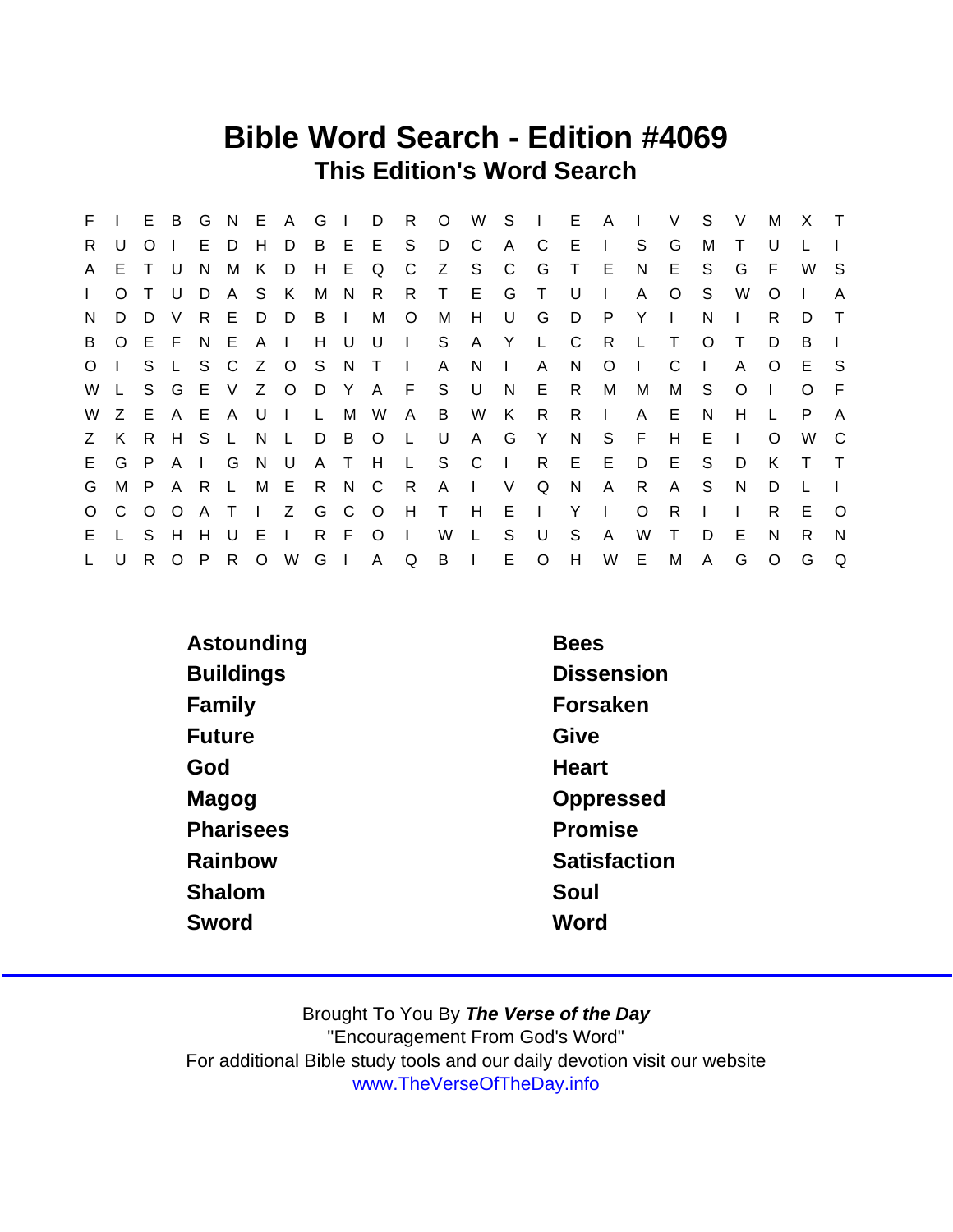## Bible Word Search - Edition #4069 This Edition's Word Search

| F.           |          | E               | B       | G            | N.           | E A     |               | G     | $\Box$ | D            | R.           | $\circ$      | W              |              | $S \quad  $  | E.     | A            | $\Box$  | V            | S.           | V            | М        | X        | $\top$       |
|--------------|----------|-----------------|---------|--------------|--------------|---------|---------------|-------|--------|--------------|--------------|--------------|----------------|--------------|--------------|--------|--------------|---------|--------------|--------------|--------------|----------|----------|--------------|
| R.           | U        | $\circ$         |         |              | E D          | H       | D             |       |        | B E E        | S.           | D            | - C            | $\mathsf{A}$ | $\mathbf{C}$ | E      | $\Box$       | S.      | G            | М            | T.           | U        |          |              |
| A            | E.       | T U             |         | N.           | M            | K.      | D.            | H.    | E.     | Q            | C            | Z            | S S            | $\mathbf{C}$ | G            | $\top$ | - E          | N       | E.           | S.           | G            | F.       | W        | -S           |
| $\mathbf{L}$ | $\Omega$ |                 | U       | D.           | A            |         | S K           | М     | N      | R            | R.           | $\top$       | E              | G            | $\top$       | - U    | $\mathbf{I}$ | A       | O            | S.           | W            | O        |          | A            |
| N            | D        | D               | V       | R.           | E.           | D       | D             | B     | $\Box$ | М            | $\circ$      | M            | H              | U            | G            | D.     | - P          | Y       | $\mathbf{L}$ | N            | $\mathbf{L}$ | R.       | D        | $\top$       |
| B            | $\circ$  | EF              |         | NE           |              | AI      |               |       | H U    | U            | $\vert$ S    |              | A              | Y L          |              | - C    | R            | - L     | $\top$       | $\Omega$     |              | D        | B        |              |
| $\circ$      |          |                 | S L     |              |              |         | S C Z O S N T |       |        |              | $\sim 1$ .   | $\mathsf{A}$ | - N            | $\mathbf{1}$ | $\mathsf{A}$ | N.     | $\circ$      | $\Box$  | C            | $\mathbf{I}$ | A            | $\Omega$ | E        | -S           |
| W            |          |                 |         |              |              |         | S G E V Z O   |       |        |              |              | D Y A F S U  |                | N            | E            | R.     | M            | М       | М            | S.           | O            |          | $\Omega$ | -F           |
| W            | Z        |                 | E A E   |              | $\mathsf{A}$ | U       | $\Box$        | L.    | M      | W            | A            | B            | W              | K            | R.           | R.     | $\mathbf{I}$ | A       | E            | N            | H.           |          | P        | A            |
| Z            | K        |                 | R H S   |              | $\mathsf{L}$ | N L     |               | D     | - B    | $\circ$      | $\mathsf{L}$ | U            | $\mathsf{A}$   | G            | Y            | N.     | S.           | F       | H            | E            | $\mathbf{L}$ | $\Omega$ | W C      |              |
| E.           | G        | P.              |         | AI           | G            | N U     |               |       | A T    | H            |              | L S C I      |                |              | R            | E      | E            | D       | E            | S            | D            | K        | $\top$   | $\top$       |
| G            | M        | P A R           |         |              | $\mathsf{L}$ | M E     |               | R.    | N C    |              | R            | $\mathsf{A}$ | $\mathbb{R}^n$ | V            | Q            | N.     | A            | R.      | $\mathsf{A}$ | -S           | N.           | D        |          |              |
| $\circ$      | C.       | $\circ$ $\circ$ |         | A T          |              | $\pm 1$ |               | Z G C |        | $\circ$      | H            | $\top$       | H              | $E \cup$     |              | Y      | $\sim 1$ .   | $\circ$ | R.           |              | $\mathbf{L}$ | R.       | E        | $\Omega$     |
| E.           |          | S.              | H       | H            | U            | E       | $\mathbf{I}$  | R.    | -F     | $\circ$      | $\sim 1$     | W            | $\mathbf{L}$   | S            | U            | S      | A            | W       | T.           | D            | Е            | N        | R.       | <sub>N</sub> |
| $\mathsf{L}$ | U        | R.              | $\circ$ | $\mathsf{P}$ |              |         | R O W G       |       | $\Box$ | $\mathsf{A}$ | Q            | B            | $\mathbf{I}$   |              | E O          | H      |              | W E     | M            | A            | G            | $\Omega$ | G        | Q            |

| Astounding       | <b>Bees</b>       |
|------------------|-------------------|
| <b>Buildings</b> | <b>Dissension</b> |
| Family           | Forsaken          |
| Future           | Give              |
| God              | Heart             |
| Magog            | Oppressed         |
| <b>Pharisees</b> | Promise           |
| Rainbow          | Satisfaction      |
| Shalom           | Soul              |
| Sword            | Word              |
|                  |                   |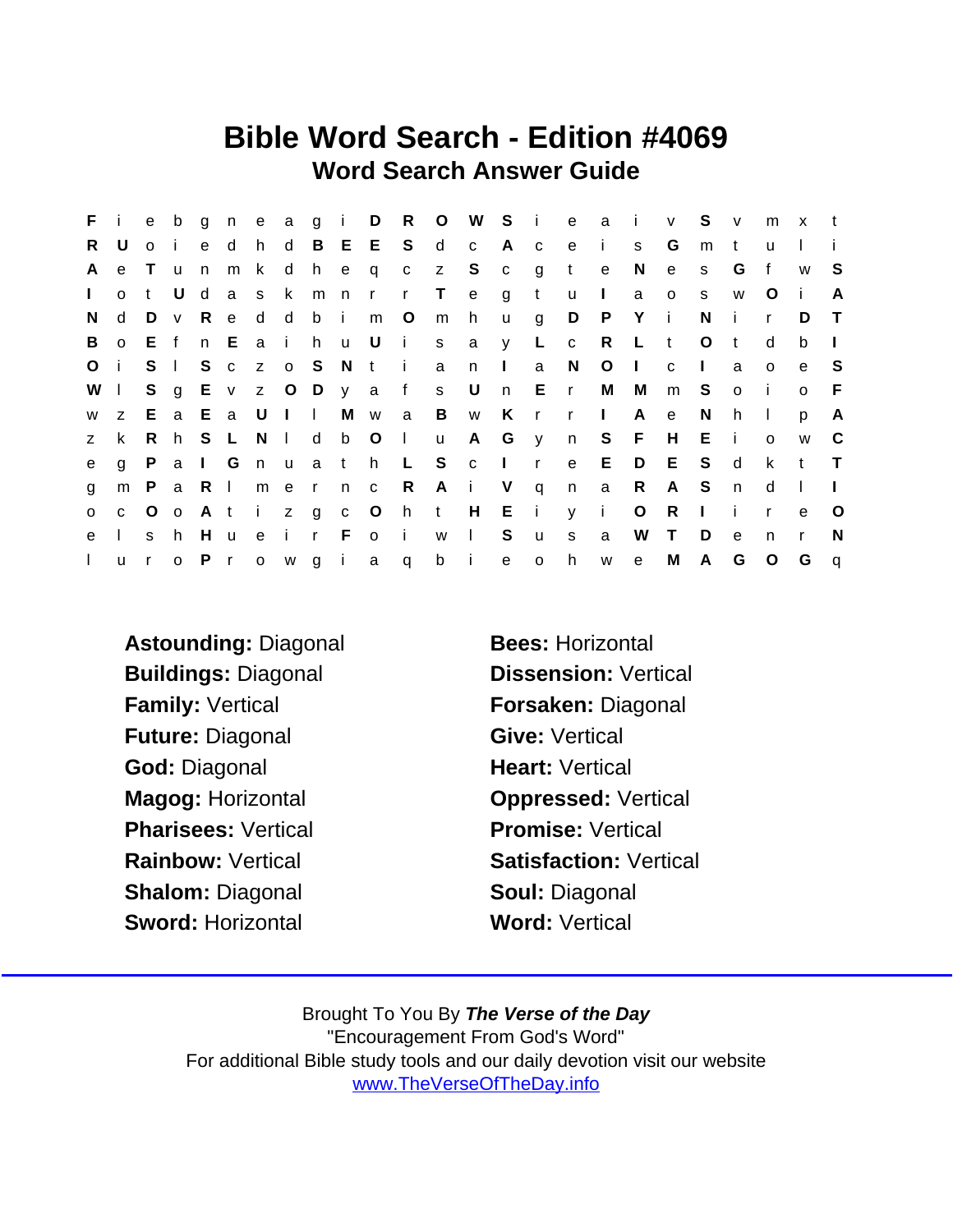## Bible Word Search - Edition #4069 Word Search Answer Guide

| F.           | j.           | e              | b              | g            | n            |                         |                           |                |       |              |                |                | e a g i D R O W S i |              |              | e            | $\alpha$     | - i -        | $\mathsf{v}$ | S            | V            | m            | $\mathsf{X}$ | $-t$         |
|--------------|--------------|----------------|----------------|--------------|--------------|-------------------------|---------------------------|----------------|-------|--------------|----------------|----------------|---------------------|--------------|--------------|--------------|--------------|--------------|--------------|--------------|--------------|--------------|--------------|--------------|
| R.           | U            | o i            |                | $\mathbf{e}$ | d            | h                       | $\mathsf{d}$              | $\overline{B}$ |       | E E          | S              | $\mathsf{d}$   | $\mathbf{C}$        | A c          |              | e            | $\mathbf{i}$ | S.           | G            | m            | $\mathbf{t}$ | $\mathsf{u}$ |              |              |
| A            | e            | $\top$         | u              | n            | m            | k                       |                           | d h e          |       | $\mathsf{q}$ | $\mathbf{C}$   | Z              | S S                 | $\mathbf{C}$ | g            | $\mathsf{t}$ | e            | N            | $\mathbf{e}$ | S.           | G            | f            | W            | -S           |
| $\mathbf{L}$ | $\Omega$     | t              | U              | d            |              | a s k                   |                           | m              | n r   |              | $\mathsf{r}$   | $\top$         | $\mathsf{e}$        | g            | t            | <b>u</b>     | $\Box$       | a            | $\circ$      | S            | W            | O            | $\mathbf{I}$ | A            |
| N.           | d            | D              | V              | R.           | e            | d                       | d                         | bi             |       | m            | $\circ$        | m              | h                   | <b>u</b>     | g            | D            | $\mathsf{P}$ | Y            | -i-          | N            | -i-          | r.           | D            | $\top$       |
| B            |              | o E f          |                |              |              | n E a i h u U           |                           |                |       |              | i s            |                | a                   | y            | L.           | $\mathbf{C}$ | R            | $\mathsf{L}$ | $-t$         | $\circ$      | $-t$         | d            | b            |              |
| $\circ$      | j.           | S <sub>1</sub> |                | S            |              | c z o S                 |                           |                | N t   |              | $\mathbf{i}$   | a              | n.                  | $\mathbf{L}$ | a            | N            | $\circ$      | $\Box$       | $\mathbf{C}$ | $\mathbf{L}$ | a            | $\Omega$     | e            | -S           |
| W            | $\mathbf{L}$ |                |                |              |              | S g E v z O D y a       |                           |                |       |              | f              | S              | U                   | n            | E r          |              | M            | M            | m            | S            | $\circ$      | i.           | $\circ$      | -F           |
| W            | Z.           | E              |                | a E          | $\mathsf{a}$ | U                       | $\mathbf{1}$ $\mathbf{1}$ |                |       | M w          | a              | $\overline{B}$ | W                   | K            | $\mathsf{r}$ | $\mathsf{r}$ | $\sim 1$ .   | A            | $\mathbf{e}$ | N            | h.           | $\mathbf{L}$ | p            | A            |
| $\mathsf{Z}$ | k.           |                | R h S          |              | $\mathsf{L}$ | N.                      | $\Box$                    | d              |       | b O          | $\sim 1$ .     | u u            |                     | A G          | $\mathsf{y}$ | n            | S F          |              | H            | E            | -i -         | $\Omega$     | W            | $\mathbf{C}$ |
| e            | q            | P.             | a              | $\vert$ G    |              | n,                      | $\mathsf{u}$              |                | a th  |              | $\mathsf{L}$   | S              | $\mathbf{C}$        | $\sim 1$ .   | $\mathsf{r}$ | e            | E            | D            | E            | S.           | $\mathsf{d}$ | k            | $-t$         | $\top$       |
| g            | m            |                | PaRI           |              |              | m e                     |                           | $\mathbf{r}$   | $n$ c |              | R              |                | $A$ i               | V            | $\mathsf{q}$ | n            | a            | R            | A S          |              | n            | d            | - 1          |              |
| $\mathsf{o}$ |              | $c \quad O$    | $\overline{O}$ | At           |              | $\mathbf{I}$            | $z$ g                     |                |       | $C$ $O$      | h t            |                |                     | $H$ $E$ $i$  |              |              | y i          | $\circ$      | $\mathsf{R}$ | $\mathbf{L}$ | -i -         | $\mathsf{r}$ | e            | O            |
| e            |              | S              | h.             | H            | <b>u</b>     | e                       | $\mathbf{i}$              | $\mathsf{r}$   | F.    | $\circ$      | $\blacksquare$ | W              | $\sim 10^{-1}$      | S            | <b>u</b>     | S            | a            | W            | $\top$       | D            | e            | n            | $\mathsf{r}$ | N            |
| $\mathbf{L}$ | u            | $\mathsf{r}$   | $\circ$        | P r          |              | $\overline{\mathbf{0}}$ |                           |                |       | w gia        | $\mathsf{q}$   | b              | $\mathbf{i}$        | e            | $\circ$      | h            | W            | $\mathsf{e}$ | M            | $\mathsf{A}$ | G            | $\circ$      | G            | $\mathsf{q}$ |

- Astounding: Diagonal Bees: Horizontal Buildings: Diagonal Dissension: Vertical Family: Vertical Forsaken: Diagonal Future: Diagonal Give: Vertical God: Diagonal **Heart: Vertical** Magog: Horizontal **Conservation** Oppressed: Vertical Pharisees: Vertical Promise: Vertical Rainbow: Vertical Satisfaction: Vertical Shalom: Diagonal Shalom: Diagonal Sword: Horizontal Word: Vertical
-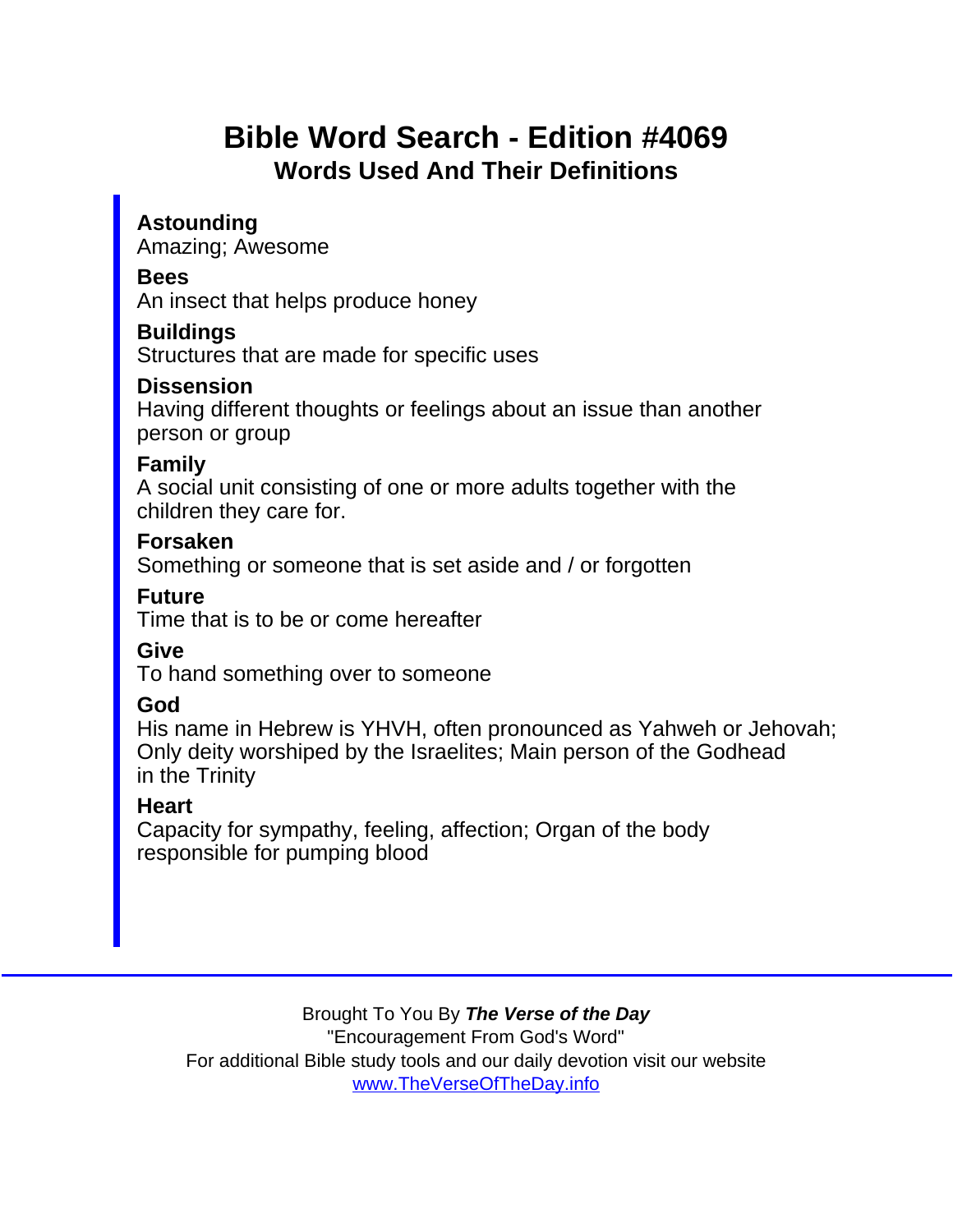# Bible Word Search - Edition #4069 Words Used And Their Definitions

Astounding Amazing; Awesome

Bees

An insect that helps produce honey

**Buildings** 

Structures that are made for specific uses

**Dissension** 

Having different thoughts or feelings about an issue than another person or group

Family

A social unit consisting of one or more adults together with the children they care for.

Forsaken

Something or someone that is set aside and / or forgotten

Future

Time that is to be or come hereafter

**Give** 

To hand something over to someone

God

His name in Hebrew is YHVH, often pronounced as Yahweh or Jehovah; Only deity worshiped by the Israelites; Main person of the Godhead in the Trinity

**Heart** 

Capacity for sympathy, feeling, affection; Organ of the body responsible for pumping blood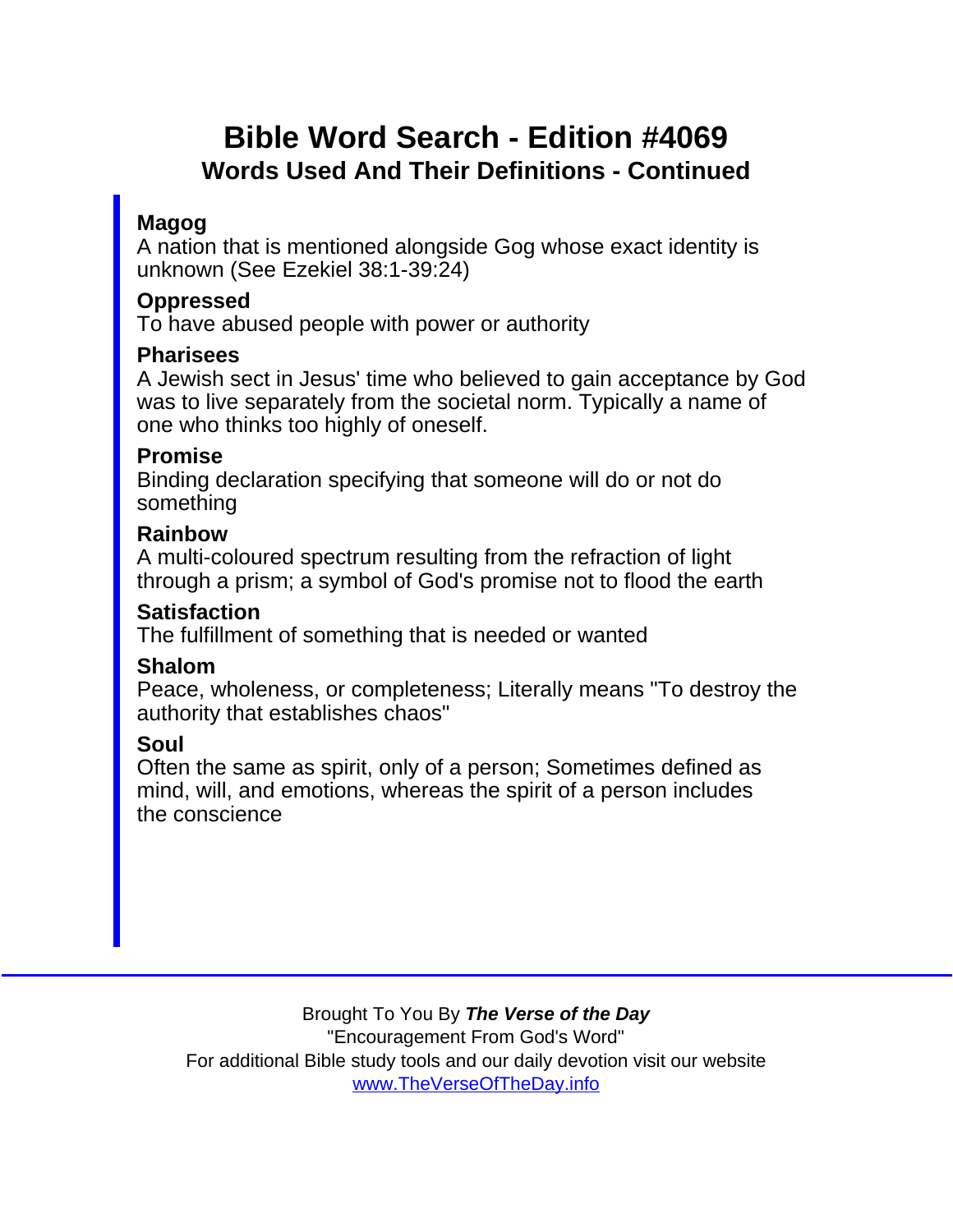# Bible Word Search - Edition #4069 Words Used And Their Definitions - Continued

### Magog

A nation that is mentioned alongside Gog whose exact identity is unknown (See Ezekiel 38:1-39:24)

#### Oppressed

To have abused people with power or authority

#### **Pharisees**

A Jewish sect in Jesus' time who believed to gain acceptance by God was to live separately from the societal norm. Typically a name of one who thinks too highly of oneself.

#### Promise

Binding declaration specifying that someone will do or not do something

### Rainbow

A multi-coloured spectrum resulting from the refraction of light through a prism; a symbol of God's promise not to flood the earth

#### **Satisfaction**

The fulfillment of something that is needed or wanted

#### Shalom

Peace, wholeness, or completeness; Literally means "To destroy the authority that establishes chaos"

### Soul

Often the same as spirit, only of a person; Sometimes defined as mind, will, and emotions, whereas the spirit of a person includes the conscience